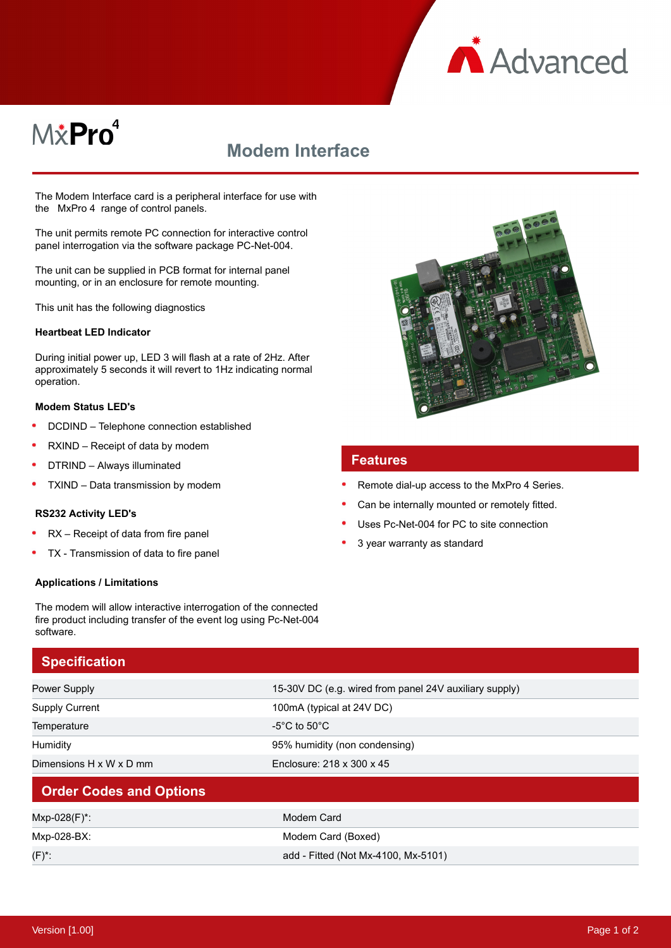

# M&Pro<sup>4</sup>

# **Modem Interface**

The Modem Interface card is a peripheral interface for use with the MxPro 4 range of control panels.

The unit permits remote PC connection for interactive control panel interrogation via the software package PC-Net-004.

The unit can be supplied in PCB format for internal panel mounting, or in an enclosure for remote mounting.

This unit has the following diagnostics

#### **Heartbeat LED Indicator**

During initial power up, LED 3 will flash at a rate of 2Hz. After approximately 5 seconds it will revert to 1Hz indicating normal operation.

#### **Modem Status LED's**

- DCDIND Telephone connection established
- RXIND Receipt of data by modem
- DTRIND Always illuminated
- TXIND Data transmission by modem

#### **RS232 Activity LED's**

- RX Receipt of data from fire panel
- TX Transmission of data to fire panel

#### **Applications / Limitations**



### **Specification**

| <b>Power Supply</b>            | 15-30V DC (e.g. wired from panel 24V auxiliary supply) |
|--------------------------------|--------------------------------------------------------|
| <b>Supply Current</b>          | 100mA (typical at 24V DC)                              |
| Temperature                    | -5°C to 50°C                                           |
| Humidity                       | 95% humidity (non condensing)                          |
| Dimensions H x W x D mm        | Enclosure: 218 x 300 x 45                              |
| <b>Order Codes and Options</b> |                                                        |
| Mxp-028(F)*:                   | Modem Card                                             |
| Mxp-028-BX:                    | Modem Card (Boxed)                                     |
| $(F)^*$ :                      | add - Fitted (Not Mx-4100, Mx-5101)                    |



#### **Features**

- Remote dial-up access to the MxPro 4 Series.
- Can be internally mounted or remotely fitted.
- Uses Pc-Net-004 for PC to site connection
- 3 year warranty as standard